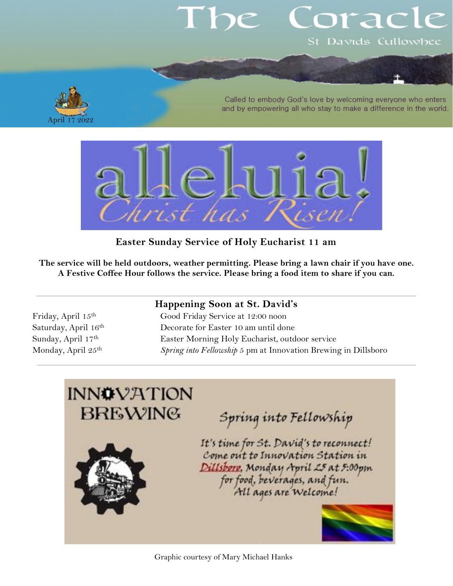# orac St Davids Cullowhee

A pril

Called to embody God's love by welcoming everyone who enters and by empowering all who stay to make a difference in the world.



**Easter Sunday Service of Holy Eucharist 11 am**

**The service will be held outdoors, weather permitting. Please bring a lawn chair if you have one. A Festive Coffee Hour follows the service. Please bring a food item to share if you can.**

## **Happening Soon at St. David's**

Friday, April 15th Good Friday Service at 12:00 noon Saturday, April 16<sup>th</sup> Decorate for Easter 10 am until done Sunday, April 17<sup>th</sup> Easter Morning Holy Eucharist, outdoor service Monday, April 25th *Spring into Fellowship* 5 pm at Innovation Brewing in Dillsboro

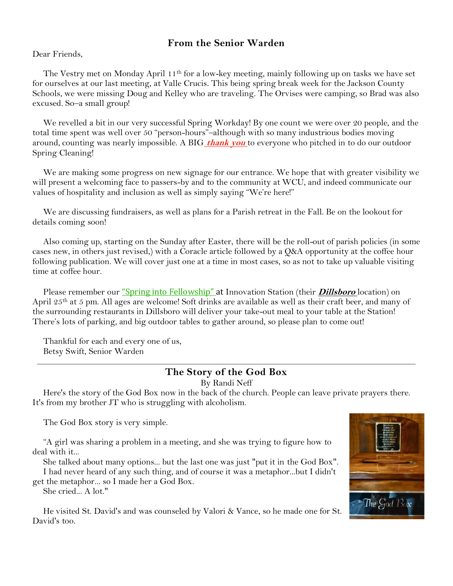### **From the Senior Warden**

Dear Friends,

The Vestry met on Monday April 11<sup>th</sup> for a low-key meeting, mainly following up on tasks we have set for ourselves at our last meeting, at Valle Crucis. This being spring break week for the Jackson County Schools, we were missing Doug and Kelley who are traveling. The Orvises were camping, so Brad was also excused. So–a small group!

We revelled a bit in our very successful Spring Workday! By one count we were over 20 people, and the total time spent was well over 50 "person-hours"–although with so many industrious bodies moving around, counting was nearly impossible. A BIG **thank you** to everyone who pitched in to do our outdoor Spring Cleaning!

We are making some progress on new signage for our entrance. We hope that with greater visibility we will present a welcoming face to passers-by and to the community at WCU, and indeed communicate our values of hospitality and inclusion as well as simply saying "We're here!"

We are discussing fundraisers, as well as plans for a Parish retreat in the Fall. Be on the lookout for details coming soon!

Also coming up, starting on the Sunday after Easter, there will be the roll-out of parish policies (in some cases new, in others just revised,) with a Coracle article followed by a Q&A opportunity at the coffee hour following publication. We will cover just one at a time in most cases, so as not to take up valuable visiting time at coffee hour.

Please remember our "Spring into Fellowship" at Innovation Station (their **Dillsboro** location) on April 25th at 5 pm. All ages are welcome! Soft drinks are available as well as their craft beer, and many of the surrounding restaurants in Dillsboro will deliver your take-out meal to your table at the Station! There's lots of parking, and big outdoor tables to gather around, so please plan to come out!

Thankful for each and every one of us, Betsy Swift, Senior Warden

#### **The Story of the God Box**

By Randi Neff

Here's the story of the God Box now in the back of the church. People can leave private prayers there. It's from my brother JT who is struggling with alcoholism.

The God Box story is very simple.

"A girl was sharing a problem in a meeting, and she was trying to figure how to deal with it...

She talked about many options... but the last one was just "put it in the God Box". I had never heard of any such thing, and of course it was a metaphor...but I didn't get the metaphor... so I made her a God Box.

She cried... A lot."

He visited St. David's and was counseled by Valori & Vance, so he made one for St. David's too.

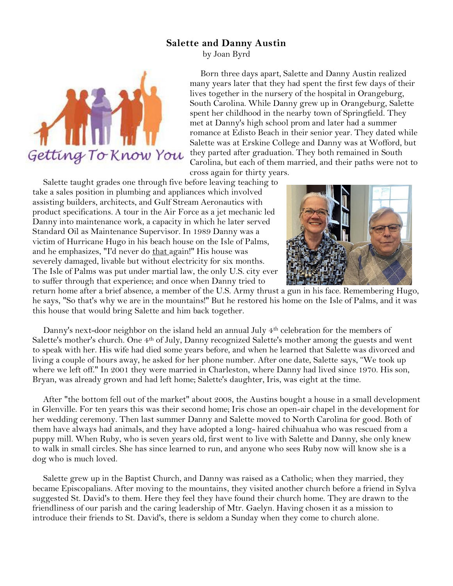#### **Salette and Danny Austin**

by Joan Byrd



Born three days apart, Salette and Danny Austin realized many years later that they had spent the first few days of their lives together in the nursery of the hospital in Orangeburg, South Carolina. While Danny grew up in Orangeburg, Salette spent her childhood in the nearby town of Springfield. They met at Danny's high school prom and later had a summer romance at Edisto Beach in their senior year. They dated while Salette was at Erskine College and Danny was at Wofford, but they parted after graduation. They both remained in South Carolina, but each of them married, and their paths were not to cross again for thirty years.

Salette taught grades one through five before leaving teaching to take a sales position in plumbing and appliances which involved assisting builders, architects, and Gulf Stream Aeronautics with product specifications. A tour in the Air Force as a jet mechanic led Danny into maintenance work, a capacity in which he later served Standard Oil as Maintenance Supervisor. In 1989 Danny was a victim of Hurricane Hugo in his beach house on the Isle of Palms, and he emphasizes, "I'd never do that again!" His house was severely damaged, livable but without electricity for six months. The Isle of Palms was put under martial law, the only U.S. city ever to suffer through that experience; and once when Danny tried to



return home after a brief absence, a member of the U.S. Army thrust a gun in his face. Remembering Hugo, he says, "So that's why we are in the mountains!" But he restored his home on the Isle of Palms, and it was this house that would bring Salette and him back together.

Danny's next-door neighbor on the island held an annual July 4<sup>th</sup> celebration for the members of Salette's mother's church. One 4th of July, Danny recognized Salette's mother among the guests and went to speak with her. His wife had died some years before, and when he learned that Salette was divorced and living a couple of hours away, he asked for her phone number. After one date, Salette says, "We took up where we left off." In 2001 they were married in Charleston, where Danny had lived since 1970. His son, Bryan, was already grown and had left home; Salette's daughter, Iris, was eight at the time.

After "the bottom fell out of the market" about 2008, the Austins bought a house in a small development in Glenville. For ten years this was their second home; Iris chose an open-air chapel in the development for her wedding ceremony. Then last summer Danny and Salette moved to North Carolina for good. Both of them have always had animals, and they have adopted a long- haired chihuahua who was rescued from a puppy mill. When Ruby, who is seven years old, first went to live with Salette and Danny, she only knew to walk in small circles. She has since learned to run, and anyone who sees Ruby now will know she is a dog who is much loved.

Salette grew up in the Baptist Church, and Danny was raised as a Catholic; when they married, they became Episcopalians. After moving to the mountains, they visited another church before a friend in Sylva suggested St. David's to them. Here they feel they have found their church home. They are drawn to the friendliness of our parish and the caring leadership of Mtr. Gaelyn. Having chosen it as a mission to introduce their friends to St. David's, there is seldom a Sunday when they come to church alone.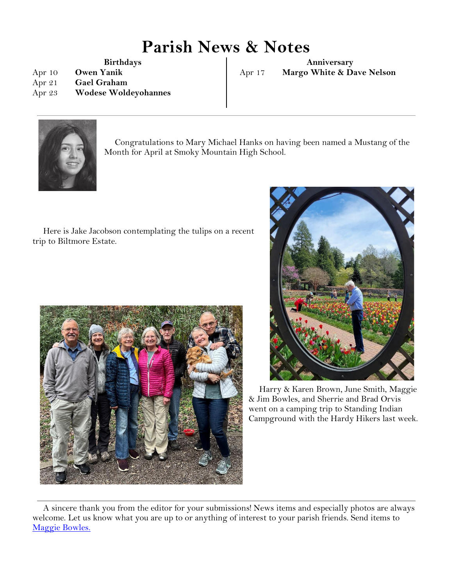# **Parish News & Notes**

**Birthdays**

Apr 10 **Owen Yanik** Apr 21 **Gael Graham**

Apr 23 **Wodese Woldeyohannes**

**Anniversary** Apr 17 **Margo White & Dave Nelson**



Congratulations to Mary Michael Hanks on having been named a Mustang of the Month for April at Smoky Mountain High School.

Here is Jake Jacobson contemplating the tulips on a recent trip to Biltmore Estate.





Harry & Karen Brown, June Smith, Maggie & Jim Bowles, and Sherrie and Brad Orvis went on a camping trip to Standing Indian Campground with the Hardy Hikers last week.

A sincere thank you from the editor for your submissions! News items and especially photos are always welcome. Let us know what you are up to or anything of interest to your parish friends. Send items to [Maggie Bowles.](mailto:magbowles@gmail.com)